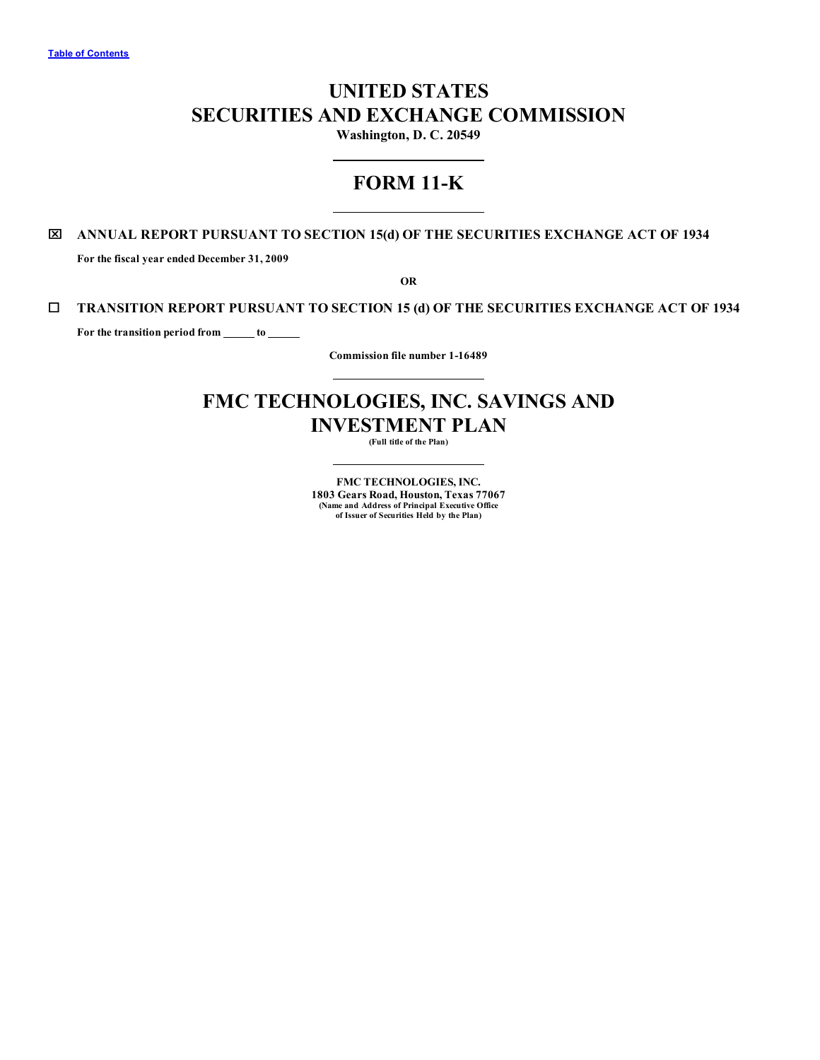# **UNITED STATES SECURITIES AND EXCHANGE COMMISSION**

**Washington, D. C. 20549**

# **FORM 11-K**

# x **ANNUAL REPORT PURSUANT TO SECTION 15(d) OF THE SECURITIES EXCHANGE ACT OF 1934**

**For the fiscal year ended December 31, 2009**

**OR**

# ¨ **TRANSITION REPORT PURSUANT TO SECTION 15 (d) OF THE SECURITIES EXCHANGE ACT OF 1934**

**For the transition period from to**

**Commission file number 1-16489**

# **FMC TECHNOLOGIES, INC. SAVINGS AND INVESTMENT PLAN**

**(Full title of the Plan)**

**FMC TECHNOLOGIES, INC. 1803 Gears Road, Houston, Texas 77067 (Name and Address of Principal Executive Office of Issuer of Securities Held by the Plan)**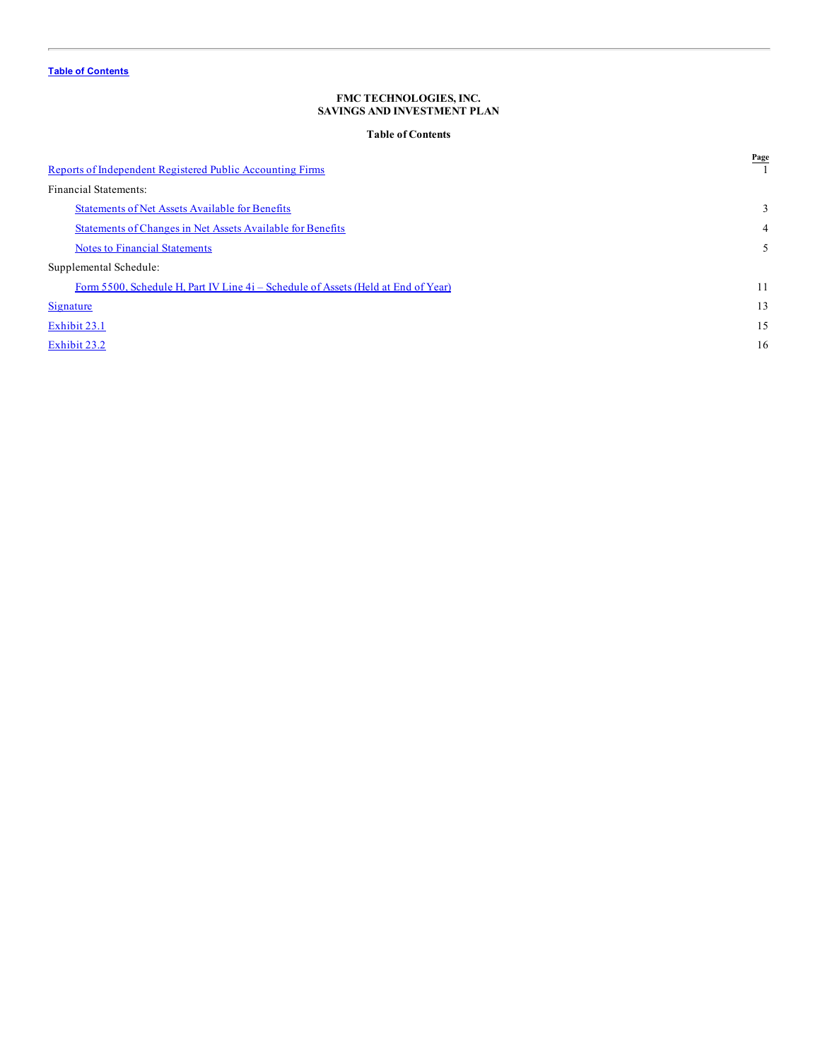# **Table of Contents**

<span id="page-1-0"></span>

| Reports of Independent Registered Public Accounting Firms                         | Page           |
|-----------------------------------------------------------------------------------|----------------|
| Financial Statements:                                                             |                |
| <b>Statements of Net Assets Available for Benefits</b>                            | 3              |
| Statements of Changes in Net Assets Available for Benefits                        | $\overline{4}$ |
| <b>Notes to Financial Statements</b>                                              | 5              |
| Supplemental Schedule:                                                            |                |
| Form 5500, Schedule H, Part IV Line 4i – Schedule of Assets (Held at End of Year) | 11             |
| Signature                                                                         | 13             |
| Exhibit 23.1                                                                      | 15             |
| Exhibit 23.2                                                                      | 16             |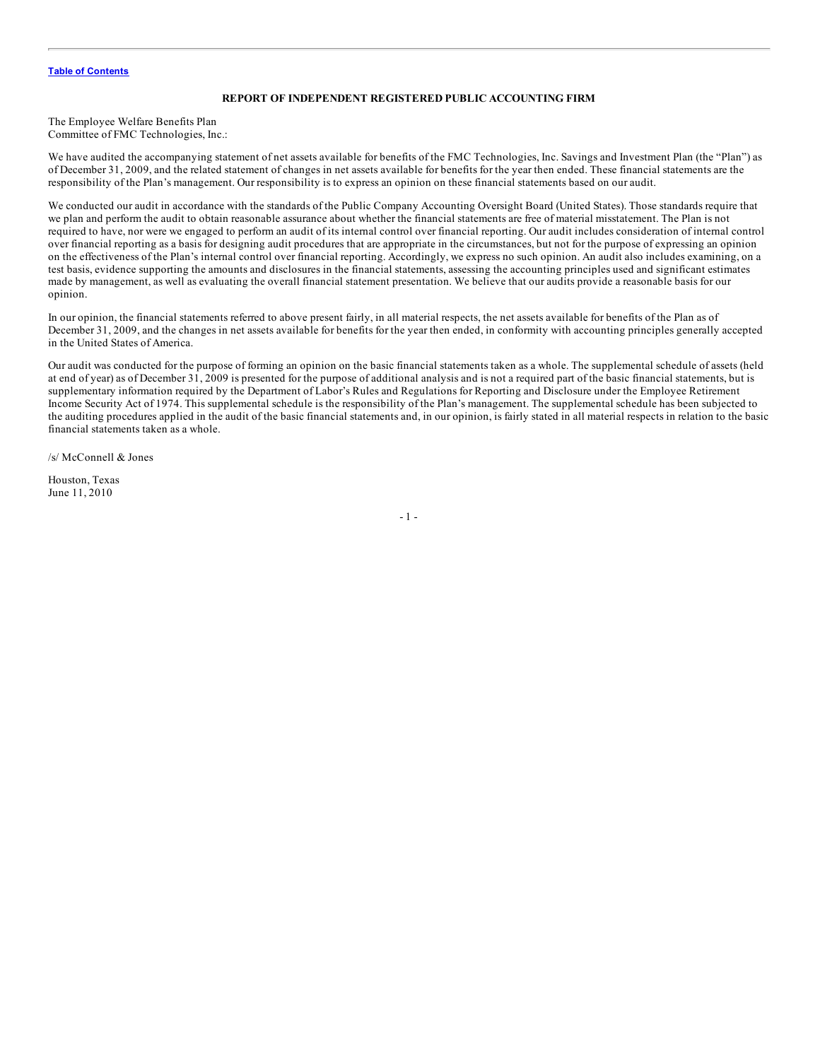#### **REPORT OF INDEPENDENT REGISTERED PUBLIC ACCOUNTING FIRM**

<span id="page-2-0"></span>The Employee Welfare Benefits Plan Committee of FMC Technologies, Inc.:

We have audited the accompanying statement of net assets available for benefits of the FMC Technologies, Inc. Savings and Investment Plan (the "Plan") as of December 31, 2009, and the related statement of changes in net assets available for benefits for the year then ended. These financial statements are the responsibility of the Plan's management. Our responsibility is to express an opinion on these financial statements based on our audit.

We conducted our audit in accordance with the standards of the Public Company Accounting Oversight Board (United States). Those standards require that we plan and perform the audit to obtain reasonable assurance about whether the financial statements are free of material misstatement. The Plan is not required to have, nor were we engaged to perform an audit of its internal control over financial reporting. Our audit includes consideration of internal control over financial reporting as a basis for designing audit procedures that are appropriate in the circumstances, but not for the purpose of expressing an opinion on the effectiveness of the Plan's internal control over financial reporting. Accordingly, we express no such opinion. An audit also includes examining, on a test basis, evidence supporting the amounts and disclosures in the financial statements, assessing the accounting principles used and significant estimates made by management, as well as evaluating the overall financial statement presentation. We believe that our audits provide a reasonable basis for our opinion.

In our opinion, the financial statements referred to above present fairly, in all material respects, the net assets available for benefits of the Plan as of December 31, 2009, and the changes in net assets available for benefits for the year then ended, in conformity with accounting principles generally accepted in the United States of America.

Our audit was conducted for the purpose of forming an opinion on the basic financial statements taken as a whole. The supplemental schedule of assets (held at end of year) as of December 31, 2009 is presented for the purpose of additional analysis and is not a required part of the basic financial statements, but is supplementary information required by the Department of Labor's Rules and Regulations for Reporting and Disclosure under the Employee Retirement Income Security Act of 1974. This supplemental schedule is the responsibility of the Plan's management. The supplemental schedule has been subjected to the auditing procedures applied in the audit of the basic financial statements and, in our opinion, is fairly stated in all material respects in relation to the basic financial statements taken as a whole.

/s/ McConnell & Jones

Houston, Texas June 11, 2010

- 1 -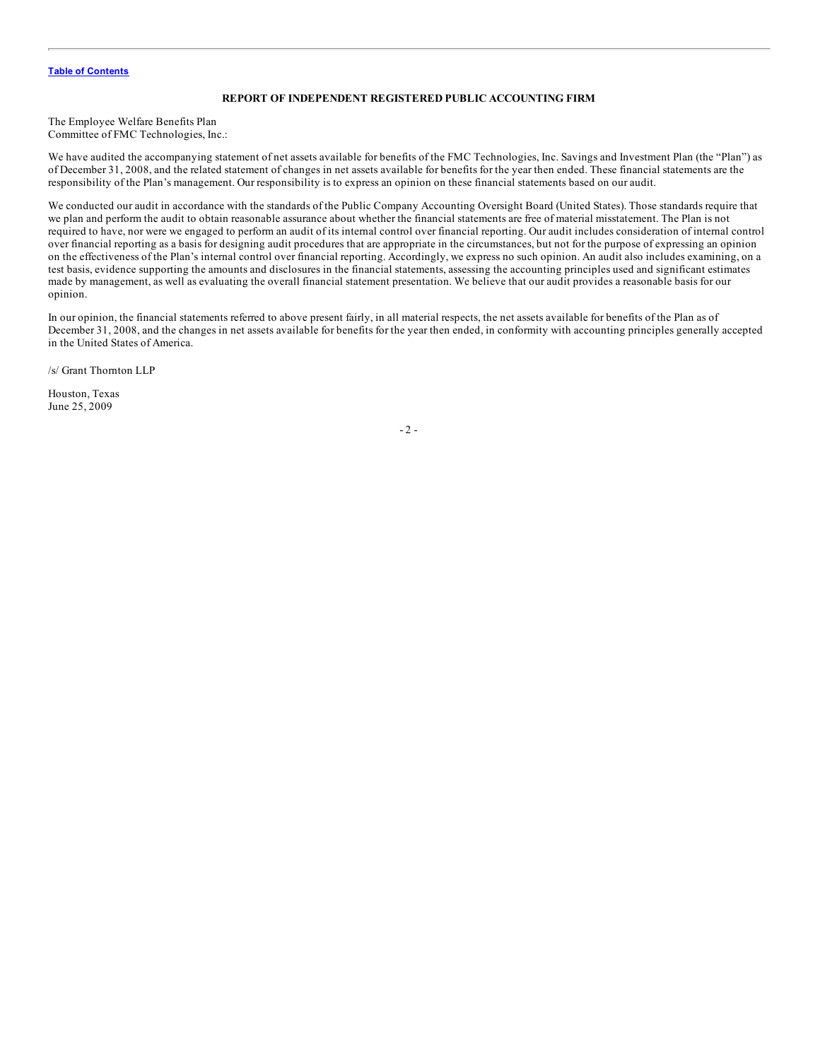#### **REPORT OF INDEPENDENT REGISTERED PUBLIC ACCOUNTING FIRM**

The Employee Welfare Benefits Plan Committee of FMC Technologies, Inc.:

We have audited the accompanying statement of net assets available for benefits of the FMC Technologies, Inc. Savings and Investment Plan (the "Plan") as of December 31, 2008, and the related statement of changes in net assets available for benefits for the year then ended. These financial statements are the responsibility of the Plan's management. Our responsibility is to express an opinion on these financial statements based on our audit.

We conducted our audit in accordance with the standards of the Public Company Accounting Oversight Board (United States). Those standards require that we plan and perform the audit to obtain reasonable assurance about whether the financial statements are free of material misstatement. The Plan is not required to have, nor were we engaged to perform an audit of its internal control over financial reporting. Our audit includes consideration of internal control over financial reporting as a basis for designing audit procedures that are appropriate in the circumstances, but not for the purpose of expressing an opinion on the effectiveness of the Plan's internal control over financial reporting. Accordingly, we express no such opinion. An audit also includes examining, on a test basis, evidence supporting the amounts and disclosures in the financial statements, assessing the accounting principles used and significant estimates made by management, as well as evaluating the overall financial statement presentation. We believe that our audit provides a reasonable basis for our opinion.

In our opinion, the financial statements referred to above present fairly, in all material respects, the net assets available for benefits of the Plan as of December 31, 2008, and the changes in net assets available for benefits for the year then ended, in conformity with accounting principles generally accepted in the United States of America.

/s/ Grant Thornton LLP

Houston, Texas June 25, 2009

 $-2 -$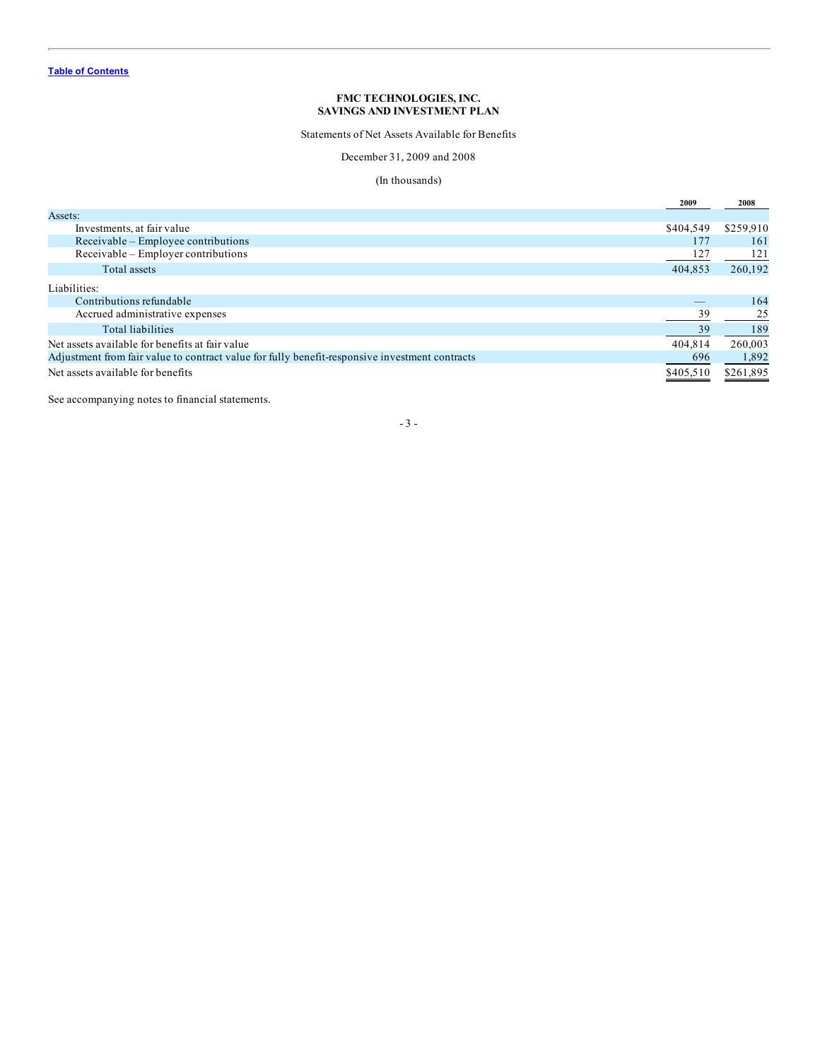Statements of Net Assets Available for Benefits

December 31, 2009 and 2008

# (In thousands)

<span id="page-4-0"></span>

|                                                                                                | 2009      | 2008      |
|------------------------------------------------------------------------------------------------|-----------|-----------|
| Assets:                                                                                        |           |           |
| Investments, at fair value                                                                     | \$404.549 | \$259,910 |
| Receivable – Employee contributions                                                            | 177       | 161       |
| Receivable – Employer contributions                                                            | 127       | 121       |
| Total assets                                                                                   | 404,853   | 260,192   |
| Liabilities:                                                                                   |           |           |
| Contributions refundable                                                                       |           | 164       |
| Accrued administrative expenses                                                                | 39        | 25        |
| <b>Total liabilities</b>                                                                       | 39        | 189       |
| Net assets available for benefits at fair value                                                | 404.814   | 260,003   |
| Adjustment from fair value to contract value for fully benefit-responsive investment contracts | 696       | 1,892     |
| Net assets available for benefits                                                              | \$405.510 | \$261,895 |

See accompanying notes to financial statements.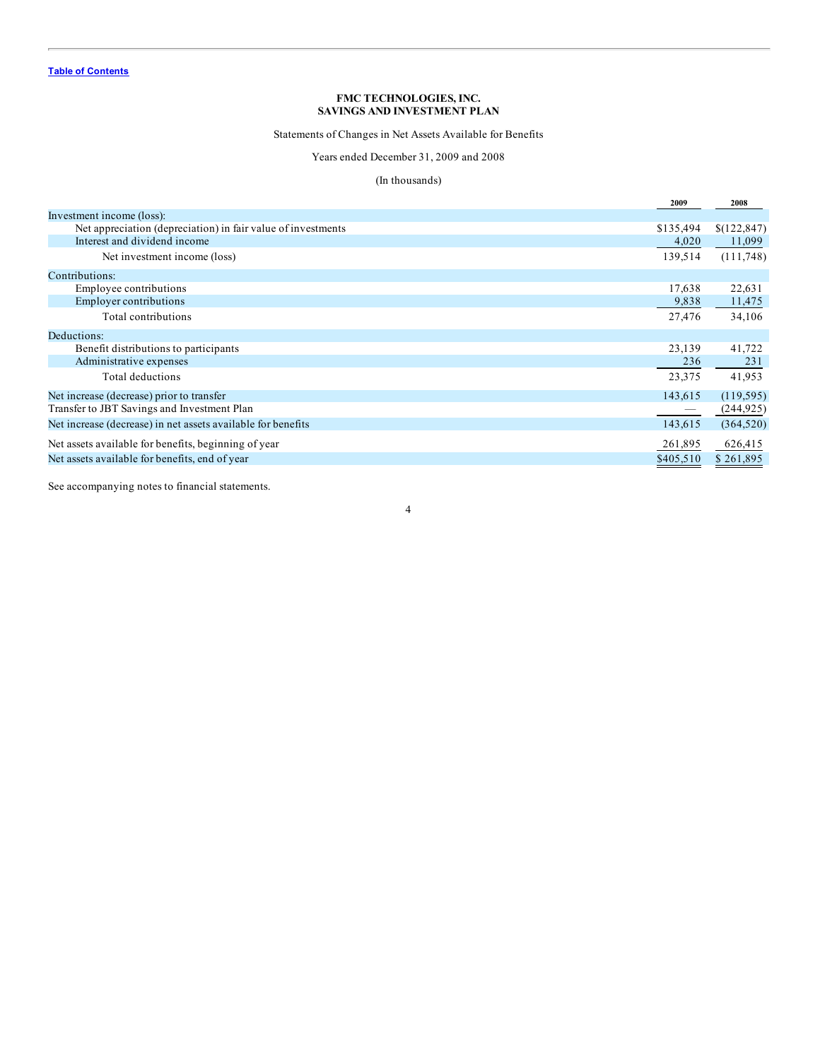Statements of Changes in Net Assets Available for Benefits

Years ended December 31, 2009 and 2008

# (In thousands)

<span id="page-5-0"></span>

|                                                              | 2009      | 2008        |
|--------------------------------------------------------------|-----------|-------------|
| Investment income (loss):                                    |           |             |
| Net appreciation (depreciation) in fair value of investments | \$135,494 | \$(122,847) |
| Interest and dividend income                                 | 4,020     | 11,099      |
| Net investment income (loss)                                 | 139,514   | (111,748)   |
| Contributions:                                               |           |             |
| Employee contributions                                       | 17,638    | 22,631      |
| Employer contributions                                       | 9,838     | 11,475      |
| Total contributions                                          | 27,476    | 34,106      |
| Deductions:                                                  |           |             |
| Benefit distributions to participants                        | 23,139    | 41,722      |
| Administrative expenses                                      | 236       | 231         |
| Total deductions                                             | 23,375    | 41,953      |
| Net increase (decrease) prior to transfer                    | 143,615   | (119, 595)  |
| Transfer to JBT Savings and Investment Plan                  |           | (244, 925)  |
| Net increase (decrease) in net assets available for benefits | 143,615   | (364, 520)  |
| Net assets available for benefits, beginning of year         | 261,895   | 626,415     |
| Net assets available for benefits, end of year               | \$405,510 | \$261.895   |

4

See accompanying notes to financial statements.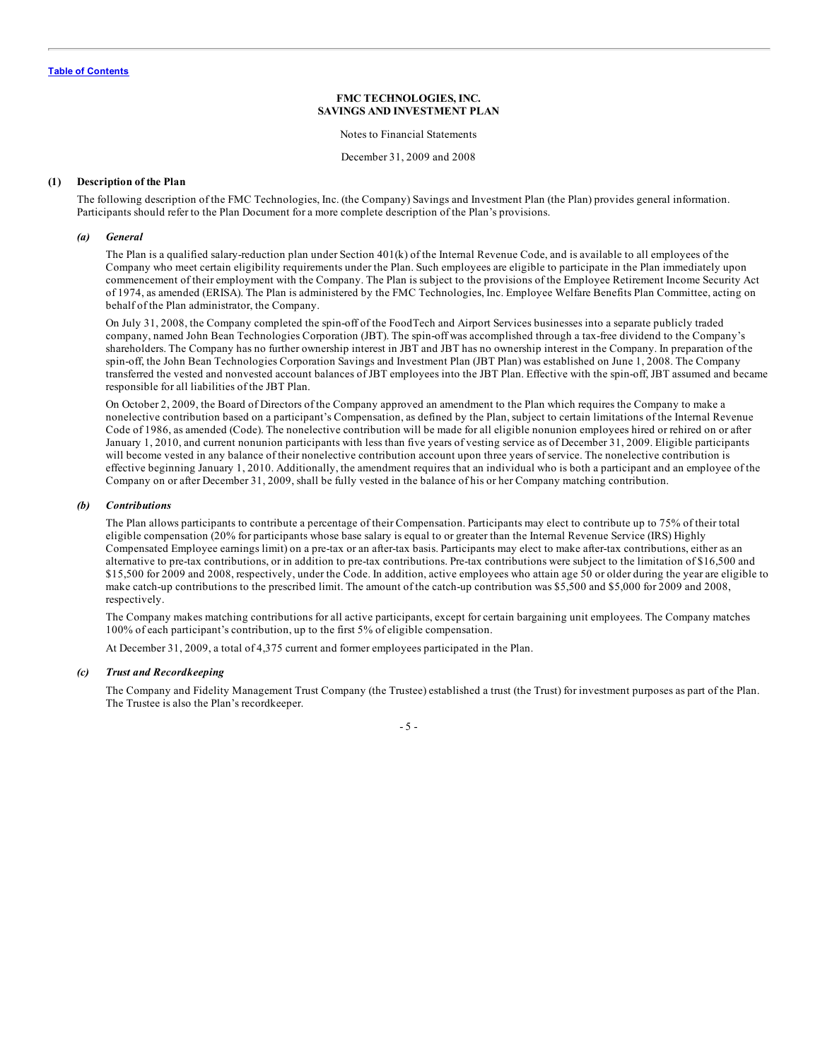Notes to Financial Statements

December 31, 2009 and 2008

#### <span id="page-6-0"></span>**(1) Description of the Plan**

The following description of the FMC Technologies, Inc. (the Company) Savings and Investment Plan (the Plan) provides general information. Participants should refer to the Plan Document for a more complete description of the Plan's provisions.

# *(a) General*

The Plan is a qualified salary-reduction plan under Section 401(k) of the Internal Revenue Code, and is available to all employees of the Company who meet certain eligibility requirements under the Plan. Such employees are eligible to participate in the Plan immediately upon commencement of their employment with the Company. The Plan is subject to the provisions of the Employee Retirement Income Security Act of 1974, as amended (ERISA). The Plan is administered by the FMC Technologies, Inc. Employee Welfare Benefits Plan Committee, acting on behalf of the Plan administrator, the Company.

On July 31, 2008, the Company completed the spin-off of the FoodTech and Airport Services businesses into a separate publicly traded company, named John Bean Technologies Corporation (JBT). The spin-off was accomplished through a tax-free dividend to the Company's shareholders. The Company has no further ownership interest in JBT and JBT has no ownership interest in the Company. In preparation of the spin-off, the John Bean Technologies Corporation Savings and Investment Plan (JBT Plan) was established on June 1, 2008. The Company transferred the vested and nonvested account balances of JBT employees into the JBT Plan. Effective with the spin-off, JBT assumed and became responsible for all liabilities of the JBT Plan.

On October 2, 2009, the Board of Directors of the Company approved an amendment to the Plan which requires the Company to make a nonelective contribution based on a participant's Compensation, as defined by the Plan, subject to certain limitations of the Internal Revenue Code of 1986, as amended (Code). The nonelective contribution will be made for all eligible nonunion employees hired or rehired on or after January 1, 2010, and current nonunion participants with less than five years of vesting service as of December 31, 2009. Eligible participants will become vested in any balance of their nonelective contribution account upon three years of service. The nonelective contribution is effective beginning January 1, 2010. Additionally, the amendment requires that an individual who is both a participant and an employee of the Company on or after December 31, 2009, shall be fully vested in the balance of his or her Company matching contribution.

#### *(b) Contributions*

The Plan allows participants to contribute a percentage of their Compensation. Participants may elect to contribute up to 75% of their total eligible compensation (20% for participants whose base salary is equal to or greater than the Internal Revenue Service (IRS) Highly Compensated Employee earnings limit) on a pre-tax or an after-tax basis. Participants may elect to make after-tax contributions, either as an alternative to pre-tax contributions, or in addition to pre-tax contributions. Pre-tax contributions were subject to the limitation of \$16,500 and \$15,500 for 2009 and 2008, respectively, under the Code. In addition, active employees who attain age 50 or older during the year are eligible to make catch-up contributions to the prescribed limit. The amount of the catch-up contribution was \$5,500 and \$5,000 for 2009 and 2008, respectively.

The Company makes matching contributions for all active participants, except for certain bargaining unit employees. The Company matches 100% of each participant's contribution, up to the first 5% of eligible compensation.

At December 31, 2009, a total of 4,375 current and former employees participated in the Plan.

#### *(c) Trust and Recordkeeping*

The Company and Fidelity Management Trust Company (the Trustee) established a trust (the Trust) for investment purposes as part of the Plan. The Trustee is also the Plan's recordkeeper.

- 5 -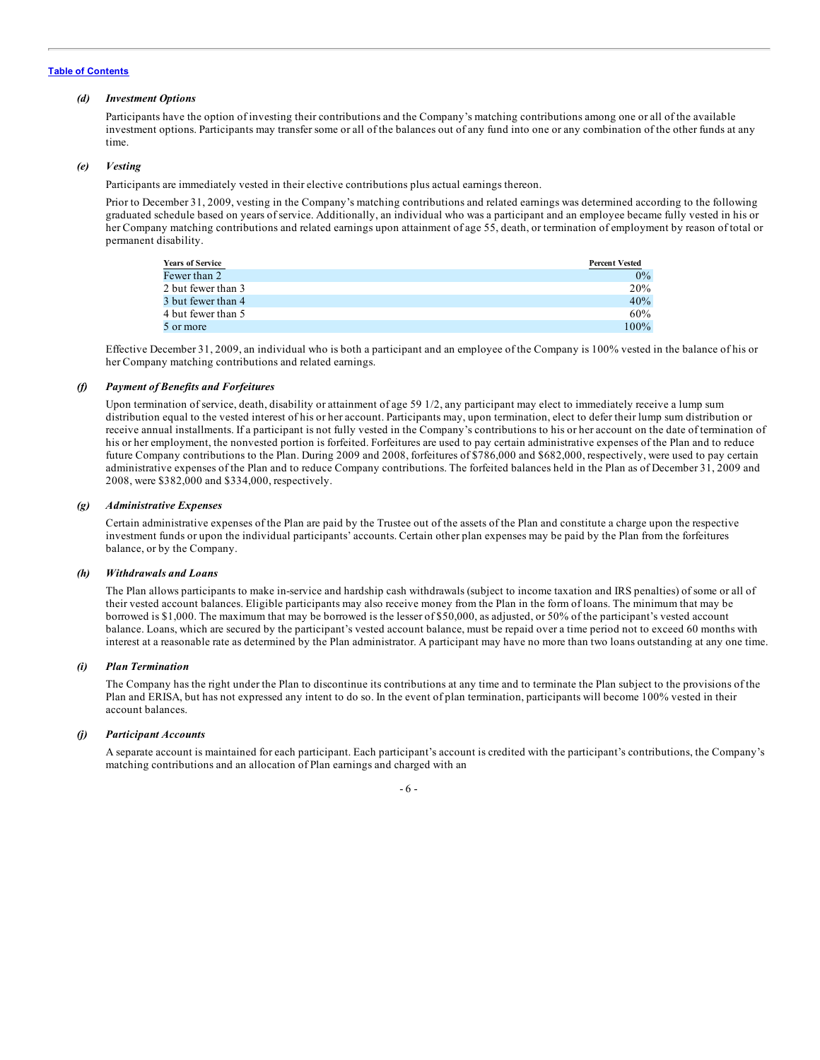#### *(d) Investment Options*

Participants have the option of investing their contributions and the Company's matching contributions among one or all of the available investment options. Participants may transfer some or all of the balances out of any fund into one or any combination of the other funds at any time.

#### *(e) Vesting*

Participants are immediately vested in their elective contributions plus actual earnings thereon.

Prior to December 31, 2009, vesting in the Company's matching contributions and related earnings was determined according to the following graduated schedule based on years of service. Additionally, an individual who was a participant and an employee became fully vested in his or her Company matching contributions and related earnings upon attainment of age 55, death, or termination of employment by reason of total or permanent disability.

| <b>Years of Service</b> | <b>Percent Vested</b> |
|-------------------------|-----------------------|
| Fewer than 2            | $0\%$                 |
| 2 but fewer than 3      | 20%                   |
| 3 but fewer than 4      | 40%                   |
| 4 but fewer than 5      | 60%                   |
| 5 or more               | $100\%$               |

Effective December 31, 2009, an individual who is both a participant and an employee of the Company is 100% vested in the balance of his or her Company matching contributions and related earnings.

#### *(f) Payment of Benefits and Forfeitures*

Upon termination of service, death, disability or attainment of age 59 1/2, any participant may elect to immediately receive a lump sum distribution equal to the vested interest of his or her account. Participants may, upon termination, elect to defer their lump sum distribution or receive annual installments. If a participant is not fully vested in the Company's contributions to his or her account on the date of termination of his or her employment, the nonvested portion is forfeited. Forfeitures are used to pay certain administrative expenses of the Plan and to reduce future Company contributions to the Plan. During 2009 and 2008, forfeitures of \$786,000 and \$682,000, respectively, were used to pay certain administrative expenses of the Plan and to reduce Company contributions. The forfeited balances held in the Plan as of December 31, 2009 and 2008, were \$382,000 and \$334,000, respectively.

#### *(g) Administrative Expenses*

Certain administrative expenses of the Plan are paid by the Trustee out of the assets of the Plan and constitute a charge upon the respective investment funds or upon the individual participants' accounts. Certain other plan expenses may be paid by the Plan from the forfeitures balance, or by the Company.

#### *(h) Withdrawals and Loans*

The Plan allows participants to make in-service and hardship cash withdrawals (subject to income taxation and IRS penalties) of some or all of their vested account balances. Eligible participants may also receive money from the Plan in the form of loans. The minimum that may be borrowed is \$1,000. The maximum that may be borrowed is the lesser of \$50,000, as adjusted, or 50% of the participant's vested account balance. Loans, which are secured by the participant's vested account balance, must be repaid over a time period not to exceed 60 months with interest at a reasonable rate as determined by the Plan administrator. A participant may have no more than two loans outstanding at any one time.

### *(i) Plan Termination*

The Company has the right under the Plan to discontinue its contributions at any time and to terminate the Plan subject to the provisions of the Plan and ERISA, but has not expressed any intent to do so. In the event of plan termination, participants will become 100% vested in their account balances.

#### *(j) Participant Accounts*

A separate account is maintained for each participant. Each participant's account is credited with the participant's contributions, the Company's matching contributions and an allocation of Plan earnings and charged with an

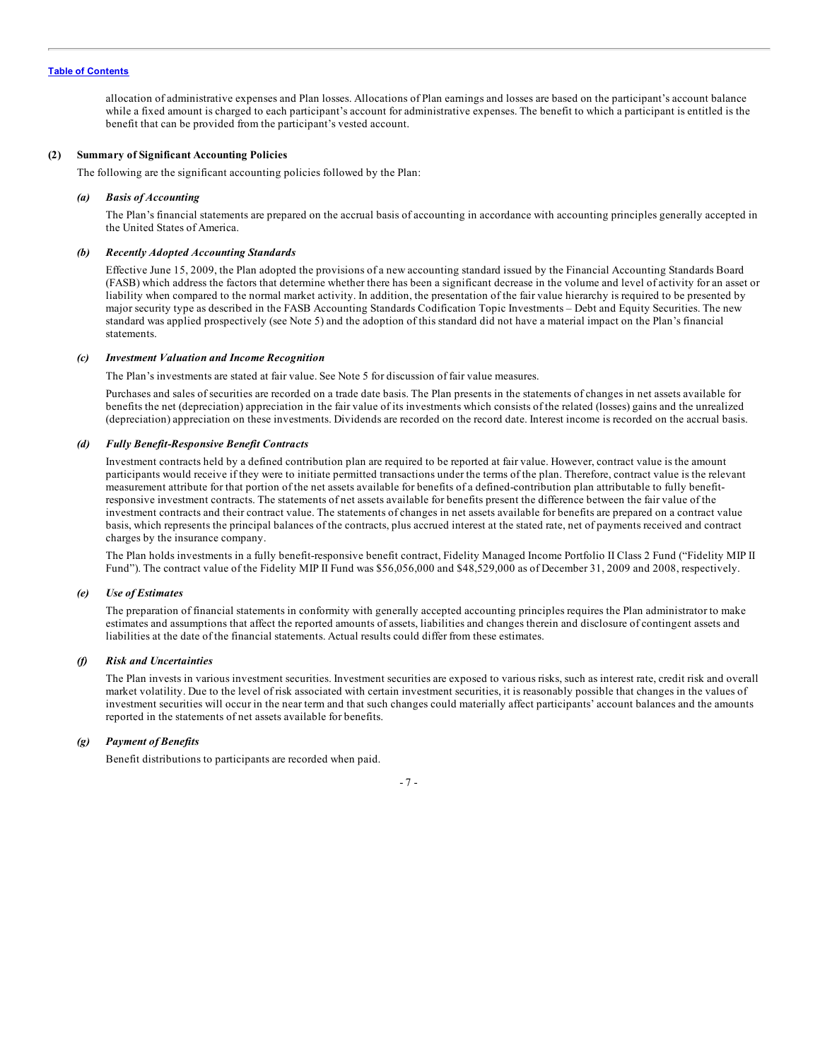allocation of administrative expenses and Plan losses. Allocations of Plan earnings and losses are based on the participant's account balance while a fixed amount is charged to each participant's account for administrative expenses. The benefit to which a participant is entitled is the benefit that can be provided from the participant's vested account.

#### **(2) Summary of Significant Accounting Policies**

The following are the significant accounting policies followed by the Plan:

#### *(a) Basis of Accounting*

The Plan's financial statements are prepared on the accrual basis of accounting in accordance with accounting principles generally accepted in the United States of America.

#### *(b) Recently Adopted Accounting Standards*

Effective June 15, 2009, the Plan adopted the provisions of a new accounting standard issued by the Financial Accounting Standards Board (FASB) which address the factors that determine whether there has been a significant decrease in the volume and level of activity for an asset or liability when compared to the normal market activity. In addition, the presentation of the fair value hierarchy is required to be presented by major security type as described in the FASB Accounting Standards Codification Topic Investments – Debt and Equity Securities. The new standard was applied prospectively (see Note 5) and the adoption of this standard did not have a material impact on the Plan's financial statements.

#### *(c) Investment Valuation and Income Recognition*

The Plan's investments are stated at fair value. See Note 5 for discussion of fair value measures.

Purchases and sales of securities are recorded on a trade date basis. The Plan presents in the statements of changes in net assets available for benefits the net (depreciation) appreciation in the fair value of its investments which consists of the related (losses) gains and the unrealized (depreciation) appreciation on these investments. Dividends are recorded on the record date. Interest income is recorded on the accrual basis.

#### *(d) Fully Benefit-Responsive Benefit Contracts*

Investment contracts held by a defined contribution plan are required to be reported at fair value. However, contract value is the amount participants would receive if they were to initiate permitted transactions under the terms of the plan. Therefore, contract value is the relevant measurement attribute for that portion of the net assets available for benefits of a defined-contribution plan attributable to fully benefitresponsive investment contracts. The statements of net assets available for benefits present the difference between the fair value of the investment contracts and their contract value. The statements of changes in net assets available for benefits are prepared on a contract value basis, which represents the principal balances of the contracts, plus accrued interest at the stated rate, net of payments received and contract charges by the insurance company.

The Plan holds investments in a fully benefit-responsive benefit contract, Fidelity Managed Income Portfolio II Class 2 Fund ("Fidelity MIP II Fund"). The contract value of the Fidelity MIP II Fund was \$56,056,000 and \$48,529,000 as of December 31, 2009 and 2008, respectively.

#### *(e) Use of Estimates*

The preparation of financial statements in conformity with generally accepted accounting principles requires the Plan administrator to make estimates and assumptions that affect the reported amounts of assets, liabilities and changes therein and disclosure of contingent assets and liabilities at the date of the financial statements. Actual results could differ from these estimates.

#### *(f) Risk and Uncertainties*

The Plan invests in various investment securities. Investment securities are exposed to various risks, such as interest rate, credit risk and overall market volatility. Due to the level of risk associated with certain investment securities, it is reasonably possible that changes in the values of investment securities will occur in the near term and that such changes could materially affect participants' account balances and the amounts reported in the statements of net assets available for benefits.

# *(g) Payment of Benefits*

Benefit distributions to participants are recorded when paid.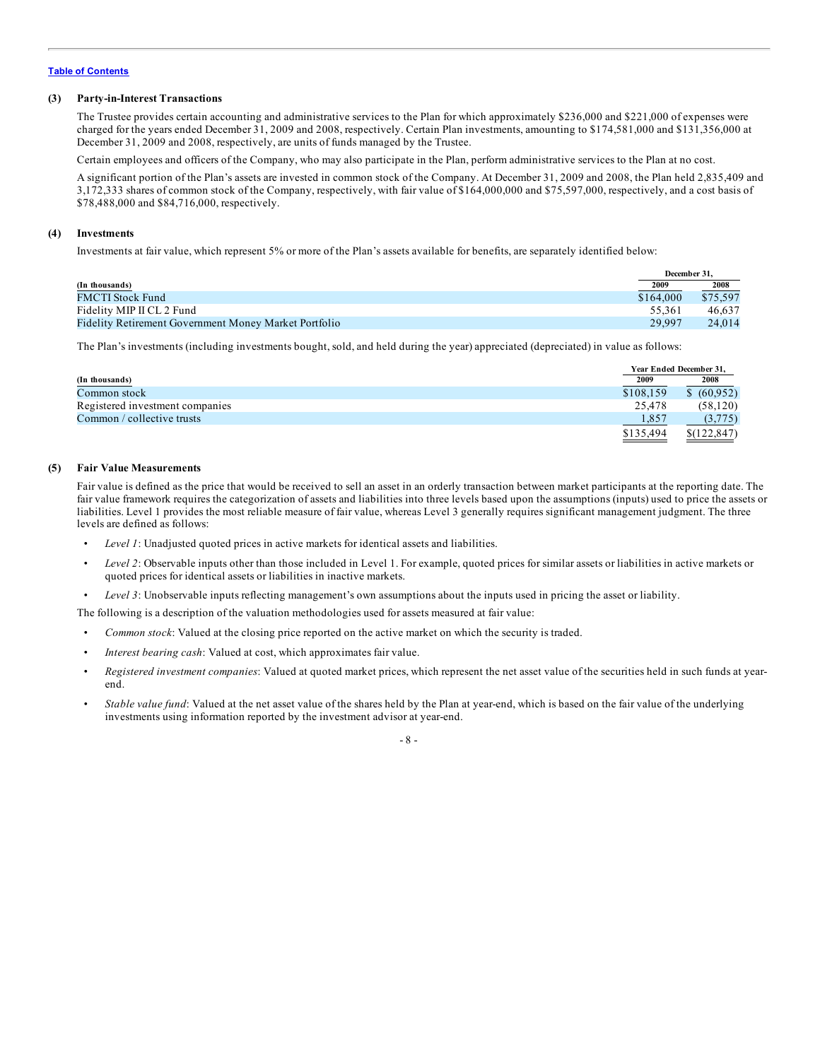### **(3) Party-in-Interest Transactions**

The Trustee provides certain accounting and administrative services to the Plan for which approximately \$236,000 and \$221,000 of expenses were charged for the years ended December 31, 2009 and 2008, respectively. Certain Plan investments, amounting to \$174,581,000 and \$131,356,000 at December 31, 2009 and 2008, respectively, are units of funds managed by the Trustee.

Certain employees and officers of the Company, who may also participate in the Plan, perform administrative services to the Plan at no cost.

A significant portion of the Plan's assets are invested in common stock of the Company. At December 31, 2009 and 2008, the Plan held 2,835,409 and 3,172,333 shares of common stock of the Company, respectively, with fair value of \$164,000,000 and \$75,597,000, respectively, and a cost basis of \$78,488,000 and \$84,716,000, respectively.

#### **(4) Investments**

Investments at fair value, which represent 5% or more of the Plan's assets available for benefits, are separately identified below:

|                                                       | December 31. |          |
|-------------------------------------------------------|--------------|----------|
| (In thousands)                                        | 2009         | 2008     |
| FMCTI Stock Fund                                      | \$164,000    | \$75,597 |
| Fidelity MIP II CL 2 Fund                             | 55.361       | 46.637   |
| Fidelity Retirement Government Money Market Portfolio | 29.997       | 24,014   |

The Plan's investments (including investments bought, sold, and held during the year) appreciated (depreciated) in value as follows:

|                                 |           | Year Ended December 31. |
|---------------------------------|-----------|-------------------------|
| (In thousands)                  | 2009      | 2008                    |
| Common stock                    | \$108,159 | \$ (60.952)             |
| Registered investment companies | 25,478    | (58, 120)               |
| Common / collective trusts      | 1,857     | (3,775)                 |
|                                 | \$135,494 | \$(122.847)             |

#### **(5) Fair Value Measurements**

Fair value is defined as the price that would be received to sell an asset in an orderly transaction between market participants at the reporting date. The fair value framework requires the categorization of assets and liabilities into three levels based upon the assumptions (inputs) used to price the assets or liabilities. Level 1 provides the most reliable measure of fair value, whereas Level 3 generally requires significant management judgment. The three levels are defined as follows:

- *Level 1*: Unadjusted quoted prices in active markets for identical assets and liabilities.
- *Level 2*: Observable inputs other than those included in Level 1. For example, quoted prices for similar assets or liabilities in active markets or quoted prices for identical assets or liabilities in inactive markets.
- *Level 3*: Unobservable inputs reflecting management's own assumptions about the inputs used in pricing the asset or liability.
- The following is a description of the valuation methodologies used for assets measured at fair value:
- *Common stock*: Valued at the closing price reported on the active market on which the security is traded.
- *Interest bearing cash*: Valued at cost, which approximates fair value.
- *Registered investment companies*: Valued at quoted market prices, which represent the net asset value of the securities held in such funds at yearend.
- *Stable value fund*: Valued at the net asset value of the shares held by the Plan at year-end, which is based on the fair value of the underlying investments using information reported by the investment advisor at year-end.

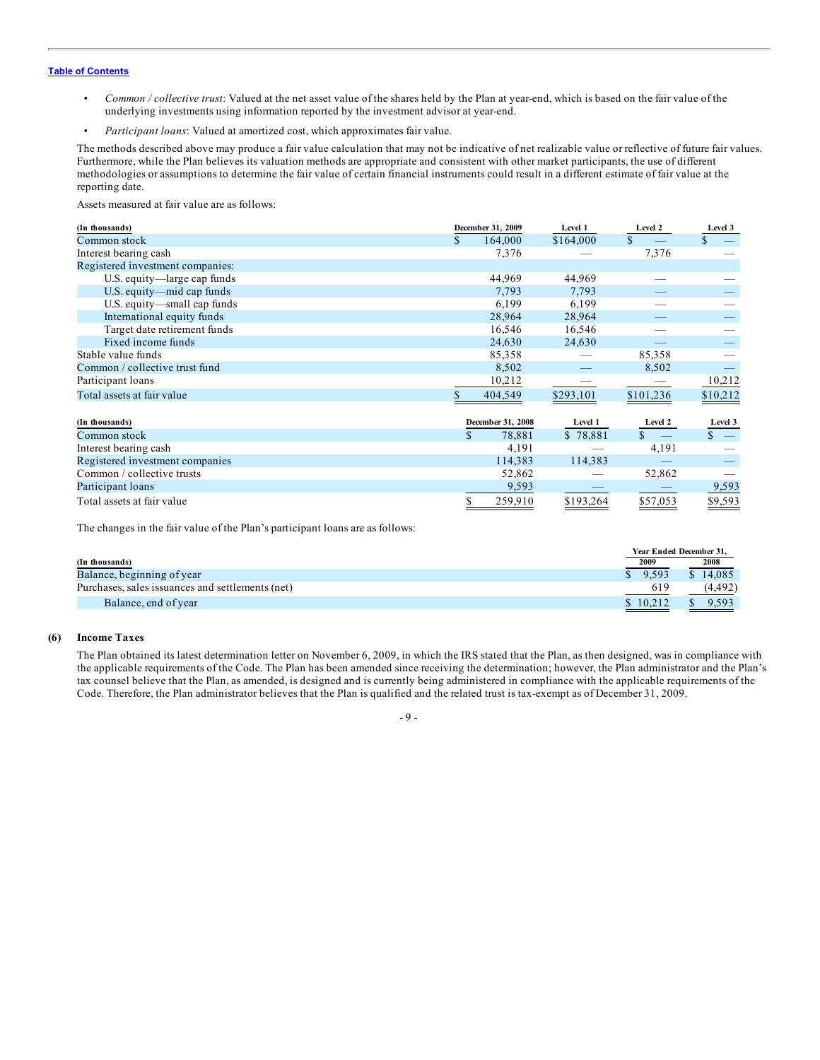- *Common / collective trust*: Valued at the net asset value of the shares held by the Plan at year-end, which is based on the fair value of the underlying investments using information reported by the investment advisor at year-end.
- *Participant loans*: Valued at amortized cost, which approximates fair value.

The methods described above may produce a fair value calculation that may not be indicative of net realizable value or reflective of future fair values. Furthermore, while the Plan believes its valuation methods are appropriate and consistent with other market participants, the use of different methodologies or assumptions to determine the fair value of certain financial instruments could result in a different estimate of fair value at the reporting date.

Assets measured at fair value are as follows:

| (In thousands)                   |     | December 31, 2009 | Level 1   | Level 2       | Level 3     |
|----------------------------------|-----|-------------------|-----------|---------------|-------------|
| Common stock                     | \$. | 164,000           | \$164,000 | $\mathbf{s}$  | $\mathbf S$ |
| Interest bearing cash            |     | 7,376             |           | 7,376         |             |
| Registered investment companies: |     |                   |           |               |             |
| U.S. equity-large cap funds      |     | 44,969            | 44,969    |               |             |
| U.S. equity—mid cap funds        |     | 7,793             | 7,793     |               |             |
| U.S. equity—small cap funds      |     | 6,199             | 6,199     |               |             |
| International equity funds       |     | 28,964            | 28,964    |               |             |
| Target date retirement funds     |     | 16,546            | 16,546    |               |             |
| Fixed income funds               |     | 24,630            | 24,630    |               |             |
| Stable value funds               |     | 85,358            |           | 85,358        |             |
| Common / collective trust fund   |     | 8,502             |           | 8,502         |             |
| Participant loans                |     | 10,212            |           |               | 10,212      |
| Total assets at fair value       |     | 404,549           | \$293,101 | \$101,236     | \$10,212    |
| (In thousands)                   |     | December 31, 2008 | Level 1   | Level 2       | Level 3     |
| Common stock                     | \$  | 78,881            | \$78,881  | $\mathcal{S}$ | $s =$       |
| Interest bearing cash            |     | 4,191             |           | 4,191         |             |
| Registered investment companies  |     | 114,383           | 114,383   |               |             |
| Common / collective trusts       |     | 52,862            |           | 52,862        |             |
| Participant loans                |     | 9,593             |           |               | 9,593       |
| Total assets at fair value       | \$  | 259,910           | \$193,264 | \$57,053      | \$9,593     |

The changes in the fair value of the Plan's participant loans are as follows:

|                                                  | Year Ended December 31. |          |
|--------------------------------------------------|-------------------------|----------|
| (In thousands)                                   | 2009                    | 2008     |
| Balance, beginning of year                       | 9.593                   | \$14.085 |
| Purchases, sales issuances and settlements (net) | 619                     | (4, 492) |
| Balance, end of year                             | \$10.212                | 9.593    |

## **(6) Income Taxes**

The Plan obtained its latest determination letter on November 6, 2009, in which the IRS stated that the Plan, as then designed, was in compliance with the applicable requirements of the Code. The Plan has been amended since receiving the determination; however, the Plan administrator and the Plan's tax counsel believe that the Plan, as amended, is designed and is currently being administered in compliance with the applicable requirements of the Code. Therefore, the Plan administrator believes that the Plan is qualified and the related trust is tax-exempt as of December 31, 2009.

- 9 -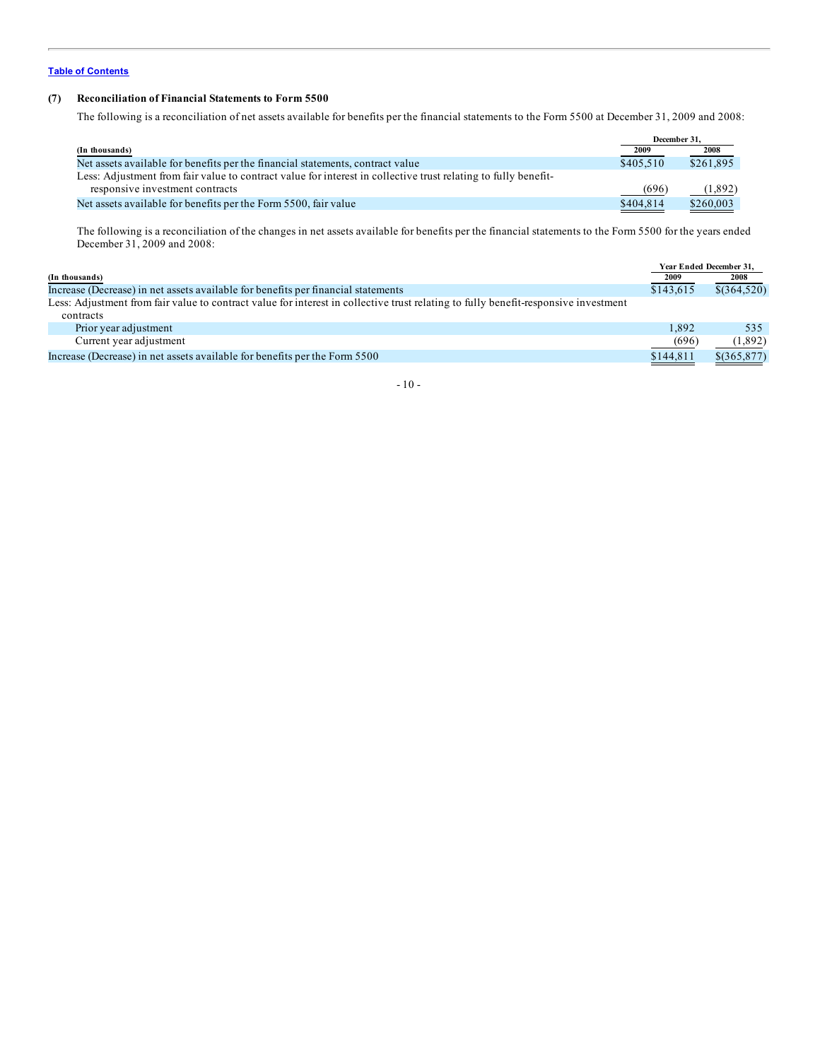# **(7) Reconciliation of Financial Statements to Form 5500**

The following is a reconciliation of net assets available for benefits per the financial statements to the Form 5500 at December 31, 2009 and 2008:

|                                                                                                                | December 31. |           |
|----------------------------------------------------------------------------------------------------------------|--------------|-----------|
| (In thousands)                                                                                                 | 2009         | 2008      |
| Net assets available for benefits per the financial statements, contract value                                 | \$405.510    | \$261,895 |
| Less: Adjustment from fair value to contract value for interest in collective trust relating to fully benefit- |              |           |
| responsive investment contracts                                                                                | (696)        | (1,892)   |
| Net assets available for benefits per the Form 5500, fair value                                                | \$404,814    | \$260,003 |

The following is a reconciliation of the changes in net assets available for benefits per the financial statements to the Form 5500 for the years ended December 31, 2009 and 2008:

|                                                                                                                                     |           | Year Ended December 31. |
|-------------------------------------------------------------------------------------------------------------------------------------|-----------|-------------------------|
| (In thousands)                                                                                                                      | 2009      | 2008                    |
| Increase (Decrease) in net assets available for benefits per financial statements                                                   | \$143,615 | $$$ (364,520)           |
| Less: Adjustment from fair value to contract value for interest in collective trust relating to fully benefit-responsive investment |           |                         |
| contracts                                                                                                                           |           |                         |
| Prior year adjustment                                                                                                               | 1.892     | 535                     |
| Current year adjustment                                                                                                             | (696)     | (1,892)                 |
| Increase (Decrease) in net assets available for benefits per the Form 5500                                                          | \$144,811 | $$$ (365,877)           |
|                                                                                                                                     |           |                         |

- 10 -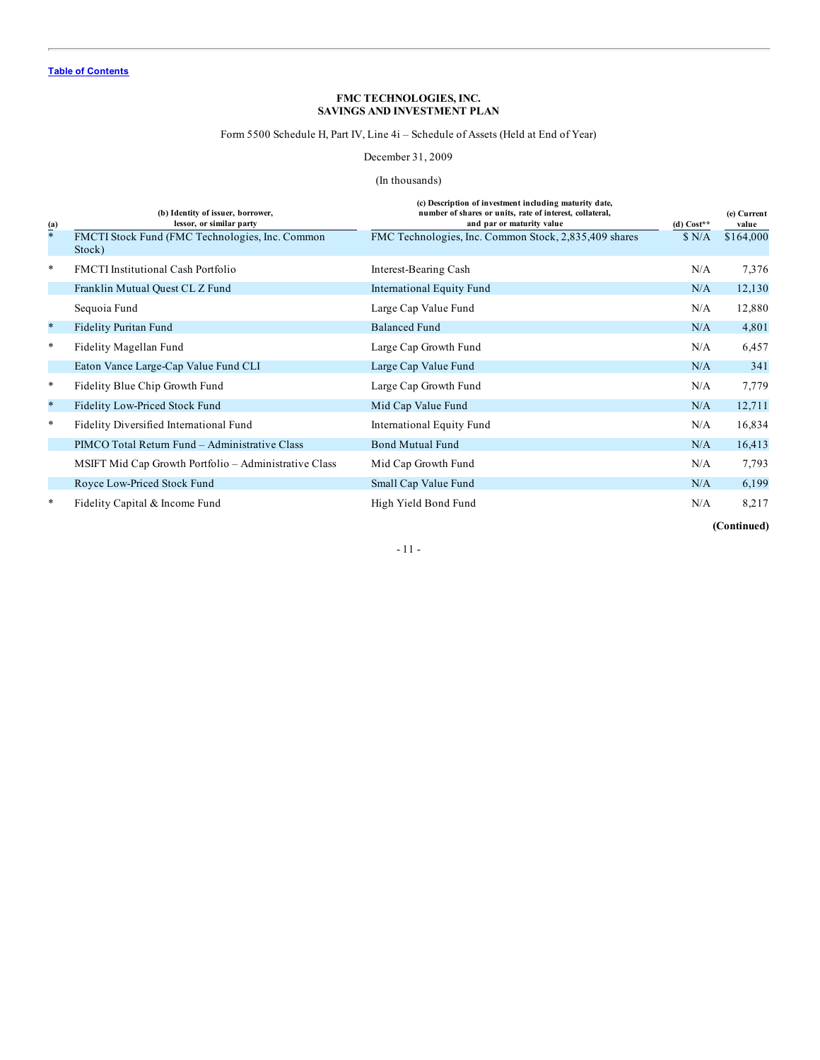Form 5500 Schedule H, Part IV, Line 4i – Schedule of Assets (Held at End of Year)

December 31, 2009

# (In thousands)

<span id="page-12-0"></span>

| $\frac{(\mathbf{a})}{*}$ | (b) Identity of issuer, borrower,<br>lessor, or similar party | (c) Description of investment including maturity date,<br>number of shares or units, rate of interest, collateral,<br>and par or maturity value | $(d) Cost**$ | (e) Current<br>value |
|--------------------------|---------------------------------------------------------------|-------------------------------------------------------------------------------------------------------------------------------------------------|--------------|----------------------|
|                          | FMCTI Stock Fund (FMC Technologies, Inc. Common<br>Stock)     | FMC Technologies, Inc. Common Stock, 2,835,409 shares                                                                                           | N/A          | \$164,000            |
| $\ast$                   | <b>FMCTI</b> Institutional Cash Portfolio                     | Interest-Bearing Cash                                                                                                                           | N/A          | 7,376                |
|                          | Franklin Mutual Quest CL Z Fund                               | International Equity Fund                                                                                                                       | N/A          | 12,130               |
|                          | Sequoia Fund                                                  | Large Cap Value Fund                                                                                                                            | N/A          | 12,880               |
| $\ast$                   | <b>Fidelity Puritan Fund</b>                                  | <b>Balanced Fund</b>                                                                                                                            | N/A          | 4,801                |
| $\ast$                   | Fidelity Magellan Fund                                        | Large Cap Growth Fund                                                                                                                           | N/A          | 6,457                |
|                          | Eaton Vance Large-Cap Value Fund CLI                          | Large Cap Value Fund                                                                                                                            | N/A          | 341                  |
| $\ast$                   | Fidelity Blue Chip Growth Fund                                | Large Cap Growth Fund                                                                                                                           | N/A          | 7,779                |
| $\ast$                   | Fidelity Low-Priced Stock Fund                                | Mid Cap Value Fund                                                                                                                              | N/A          | 12,711               |
| $\ast$                   | Fidelity Diversified International Fund                       | International Equity Fund                                                                                                                       | N/A          | 16,834               |
|                          | PIMCO Total Return Fund - Administrative Class                | <b>Bond Mutual Fund</b>                                                                                                                         | N/A          | 16,413               |
|                          | MSIFT Mid Cap Growth Portfolio – Administrative Class         | Mid Cap Growth Fund                                                                                                                             | N/A          | 7,793                |
|                          | Royce Low-Priced Stock Fund                                   | Small Cap Value Fund                                                                                                                            | N/A          | 6,199                |
| ∗                        | Fidelity Capital & Income Fund                                | High Yield Bond Fund                                                                                                                            | N/A          | 8,217                |

**(Continued)**

# $\sim 11$  -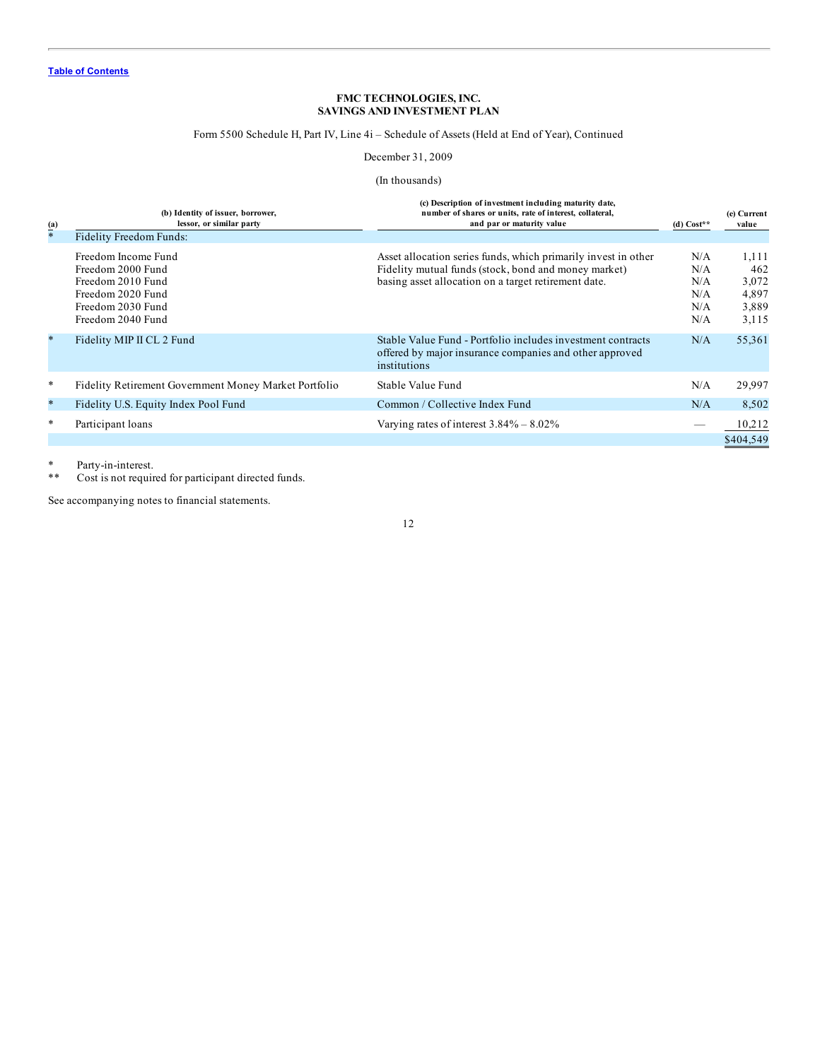# Form 5500 Schedule H, Part IV, Line 4i – Schedule of Assets (Held at End of Year), Continued

December 31, 2009

## (In thousands)

| $\frac{(\mathbf{a})}{*}$ | (b) Identity of issuer, borrower,<br>lessor, or similar party                    | (c) Description of investment including maturity date,<br>number of shares or units, rate of interest, collateral,<br>and par or maturity value | (d) $Cost**$             | (e) Current<br>value             |
|--------------------------|----------------------------------------------------------------------------------|-------------------------------------------------------------------------------------------------------------------------------------------------|--------------------------|----------------------------------|
|                          | Fidelity Freedom Funds:                                                          |                                                                                                                                                 |                          |                                  |
|                          | Freedom Income Fund<br>Freedom 2000 Fund                                         | Asset allocation series funds, which primarily invest in other<br>Fidelity mutual funds (stock, bond and money market)                          | N/A<br>N/A               | 1,111<br>462                     |
|                          | Freedom 2010 Fund<br>Freedom 2020 Fund<br>Freedom 2030 Fund<br>Freedom 2040 Fund | basing asset allocation on a target retirement date.                                                                                            | N/A<br>N/A<br>N/A<br>N/A | 3,072<br>4,897<br>3,889<br>3,115 |
| $\ast$                   | Fidelity MIP II CL 2 Fund                                                        | Stable Value Fund - Portfolio includes investment contracts<br>offered by major insurance companies and other approved<br>institutions          | N/A                      | 55,361                           |
| $\ast$                   | Fidelity Retirement Government Money Market Portfolio                            | Stable Value Fund                                                                                                                               | N/A                      | 29,997                           |
| $\ast$                   | Fidelity U.S. Equity Index Pool Fund                                             | Common / Collective Index Fund                                                                                                                  | N/A                      | 8,502                            |
| $\ast$                   | Participant loans                                                                | Varying rates of interest $3.84\% - 8.02\%$                                                                                                     |                          | 10,212<br>\$404,549              |

\* Party-in-interest.<br>\*\* Cost is not require

Cost is not required for participant directed funds.

See accompanying notes to financial statements.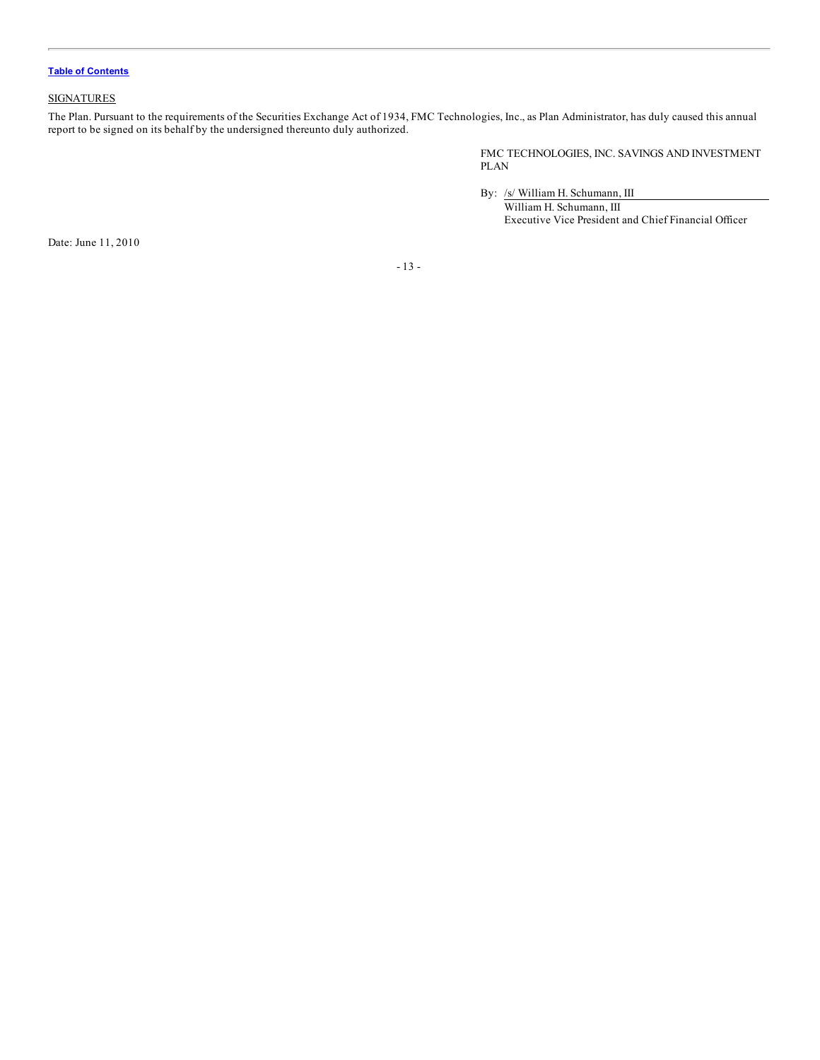# <span id="page-14-0"></span>**SIGNATURES**

The Plan. Pursuant to the requirements of the Securities Exchange Act of 1934, FMC Technologies, Inc., as Plan Administrator, has duly caused this annual report to be signed on its behalf by the undersigned thereunto duly authorized.

> FMC TECHNOLOGIES, INC. SAVINGS AND INVESTMENT PLAN

By: /s/ William H. Schumann, III

William H. Schumann, III Executive Vice President and Chief Financial Officer

Date: June 11, 2010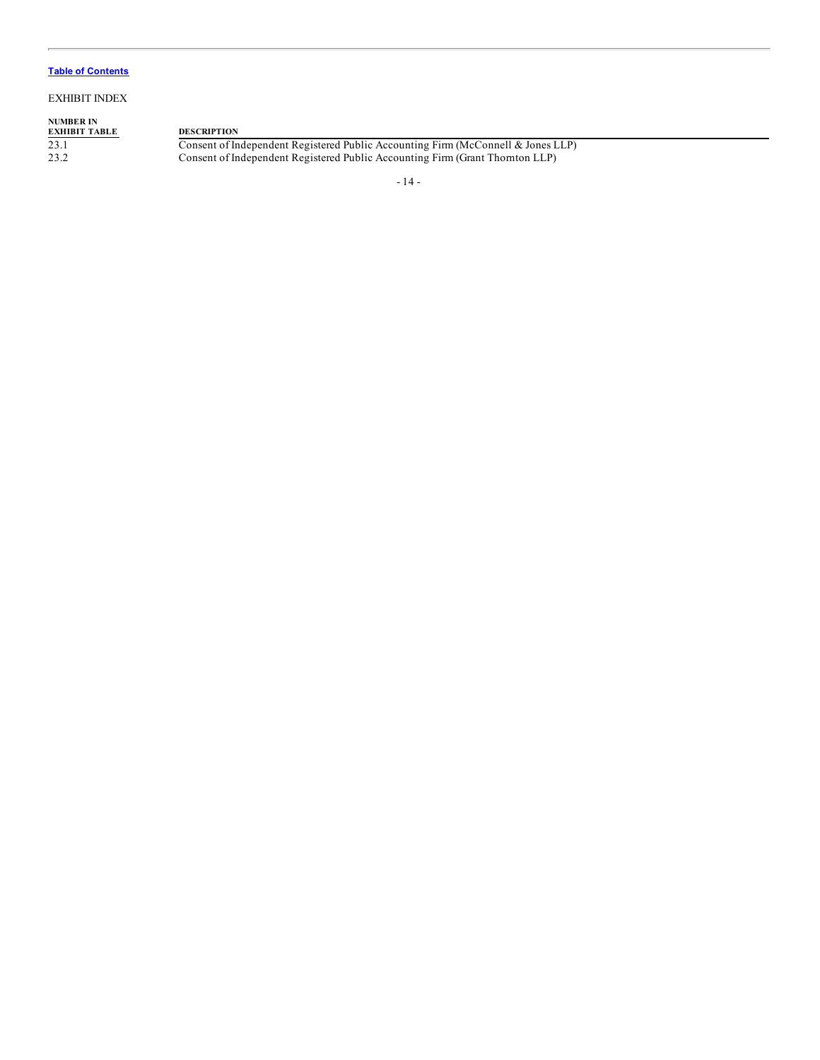## EXHIBIT INDEX

# **NUMBER IN EXHIBIT TABLE DESCRIPTION**

23.1 Consent of Independent Registered Public Accounting Firm (McConnell & Jones LLP) 23.2 Consent of Independent Registered Public Accounting Firm (Grant Thornton LLP)

- 14 -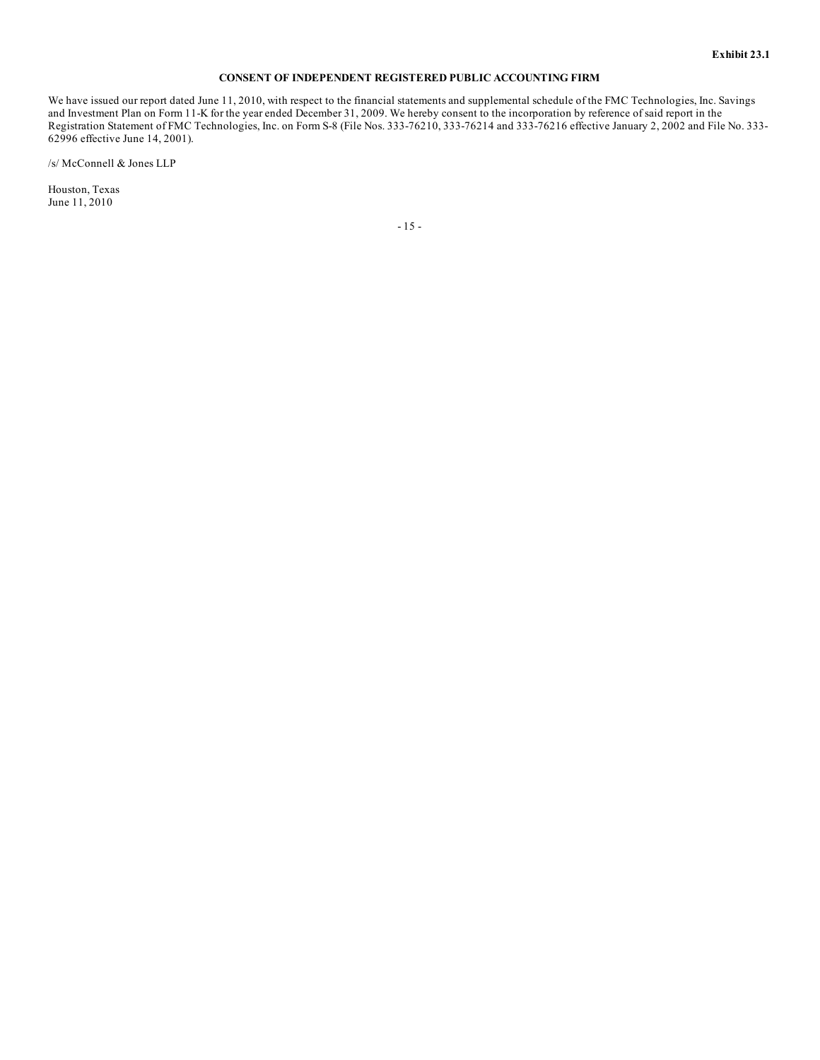#### **CONSENT OF INDEPENDENT REGISTERED PUBLIC ACCOUNTING FIRM**

<span id="page-16-0"></span>We have issued our report dated June 11, 2010, with respect to the financial statements and supplemental schedule of the FMC Technologies, Inc. Savings and Investment Plan on Form 11-K for the year ended December 31, 2009. We hereby consent to the incorporation by reference of said report in the Registration Statement of FMC Technologies, Inc. on Form S-8 (File Nos. 333-76210, 333-76214 and 333-76216 effective January 2, 2002 and File No. 333- 62996 effective June 14, 2001).

/s/ McConnell & Jones LLP

Houston, Texas June 11, 2010

- 15 -